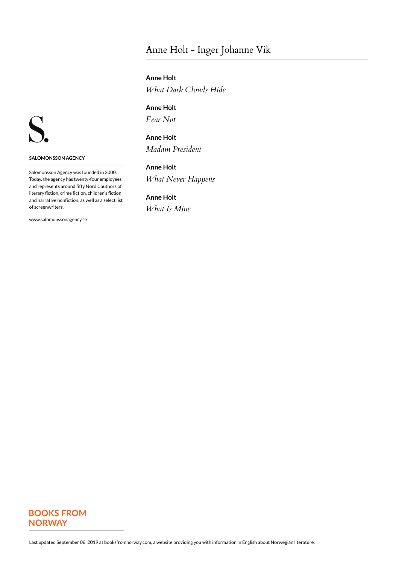# Anne Holt - Inger Johanne Vik

**Anne Holt** *What Dark Clouds Hide*

**Anne Holt** *Fear Not*

**Anne Holt** *Madam President*

**Anne Holt** *What Never Happens*

**Anne Holt** *What Is Mine*



**SALOMONSSON AGENCY**

Salomonsson Agency was founded in 2000. Today, the agency has twenty-four employees and represents around fifty Nordic authors of literary fiction, crime fiction, children's fiction and narrative nonfiction, as well as a select list of screenwriters.

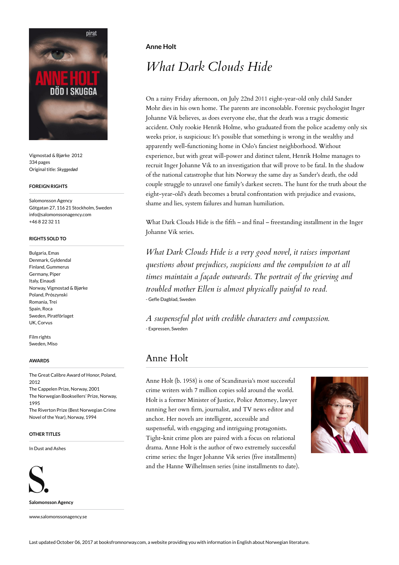

Vigmostad & Bjørke 2012 334 pages Original title: *Skyggedød*

### **FOREIGN RIGHTS**

Salomonsson Agency Götgatan 27, 116 21 Stockholm, Sweden info@salomonssonagency.com +46 8 22 32 11

# **RIGHTS SOLD TO**

Bulgaria, Emas Denmark, Gyldendal Finland, Gummerus Germany, Piper Italy, Einaudi Norway, Vigmostad & Bjørke Poland, Prószynski Romania, Trei Spain, Roca Sweden, Piratförlaget UK, Corvus

Film rights Sweden, Miso

#### **AWARDS**

The Great Calibre Award of Honor, Poland, 2012 The Cappelen Prize, Norway, 2001 The Norwegian Booksellers' Prize, Norway, 1995 The Riverton Prize (Best Norwegian Crime Novel of the Year), Norway, 1994

### **OTHER TITLES**

In Dust and Ashes



**Salomonsson Agency**

www.salomonssonagency.se

# **Anne Holt**

# *What Dark Clouds Hide*

On a rainy Friday afternoon, on July 22nd 2011 eight-year-old only child Sander Mohr dies in his own home. The parents are inconsolable. Forensic psychologist Inger Johanne Vik believes, as does everyone else, that the death was a tragic domestic accident. Only rookie Henrik Holme, who graduated from the police academy only six weeks prior, is suspicious: It's possible that something is wrong in the wealthy and apparently well-functioning home in Oslo's fanciest neighborhood. Without experience, but with great will-power and distinct talent, Henrik Holme manages to recruit Inger Johanne Vik to an investigation that will prove to be fatal. In the shadow of the national catastrophe that hits Norway the same day as Sander's death, the odd couple struggle to unravel one family's darkest secrets. The hunt for the truth about the eight-year-old's death becomes a brutal confrontation with prejudice and evasions, shame and lies, system failures and human humiliation.

What Dark Clouds Hide is the fifth – and final – freestanding installment in the Inger Johanne Vik series.

*What Dark Clouds Hide is a very good novel, it raises important questions about prejudices, suspicions and the compulsion to at all times maintain a façade outwards. The portrait of the grieving and troubled mother Ellen is almost physically painful to read.* - Gefle Dagblad, Sweden

*A suspenseful plot with credible characters and compassion.* - Expressen, Sweden

# Anne Holt

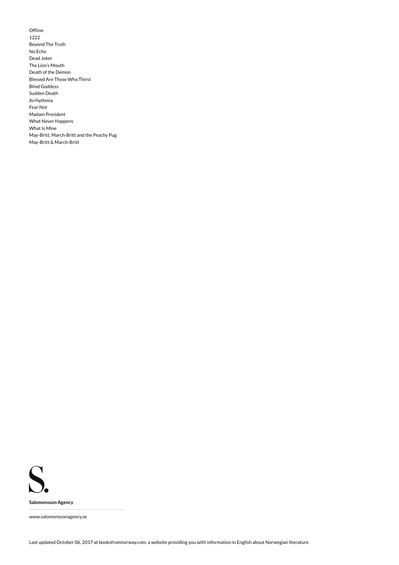Offline 1222 Beyond The Truth No Echo Dead Joker The Lion's Mouth Death of the Demon Blessed Are Those Who Thirst Blind Goddess Sudden Death Arrhythmia Fear Not Madam President What Never Happens What Is Mine May-Britt, March-Britt and the Peachy Pug May-Britt & March-Britt

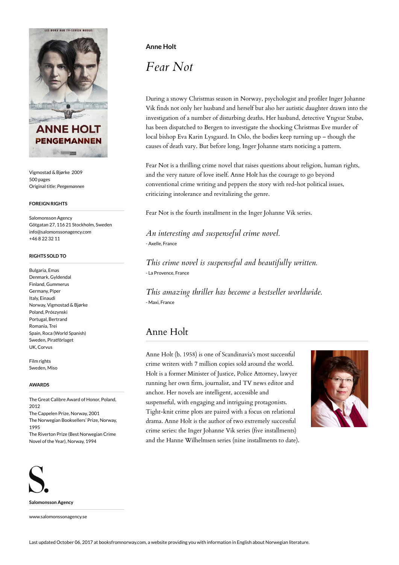

Vigmostad & Bjørke 2009 500 pages Original title: *Pengemannen*

### **FOREIGN RIGHTS**

Salomonsson Agency Götgatan 27, 116 21 Stockholm, Sweden info@salomonssonagency.com +46 8 22 32 11

#### **RIGHTS SOLD TO**

Bulgaria, Emas Denmark, Gyldendal Finland, Gummerus Germany, Piper Italy, Einaudi Norway, Vigmostad & Bjørke Poland, Prószynski Portugal, Bertrand Romania, Trei Spain, Roca (World Spanish) Sweden, Piratförlaget UK, Corvus

Film rights Sweden, Misc

### **AWARDS**

The Great Calibre Award of Honor, Poland, 2012 The Cappelen Prize, Norway, 2001 The Norwegian Booksellers' Prize, Norway, 1995 The Riverton Prize (Best Norwegian Crime Novel of the Year), Norway, 1994



**Salomonsson Agency**

www.salomonssonagency.se

# **Anne Holt**

*Fear Not*

During a snowy Christmas season in Norway, psychologist and profiler Inger Johanne Vik finds not only her husband and herself but also her autistic daughter drawn into the investigation of a number of disturbing deaths. Her husband, detective Yngvar Stubø, has been dispatched to Bergen to investigate the shocking Christmas Eve murder of local bishop Eva Karin Lysgaard. In Oslo, the bodies keep turning up – though the causes of death vary. But before long, Inger Johanne starts noticing a pattern.

Fear Not is a thrilling crime novel that raises questions about religion, human rights, and the very nature of love itself. Anne Holt has the courage to go beyond conventional crime writing and peppers the story with red-hot political issues, criticizing intolerance and revitalizing the genre.

Fear Not is the fourth installment in the Inger Johanne Vik series.

*An interesting and suspenseful crime novel.* - Axelle, France

*This crime novel is suspenseful and beautifully written.* - La Provence, France

*This amazing thriller has become a bestseller worldwide.* - Maxi, France

# Anne Holt

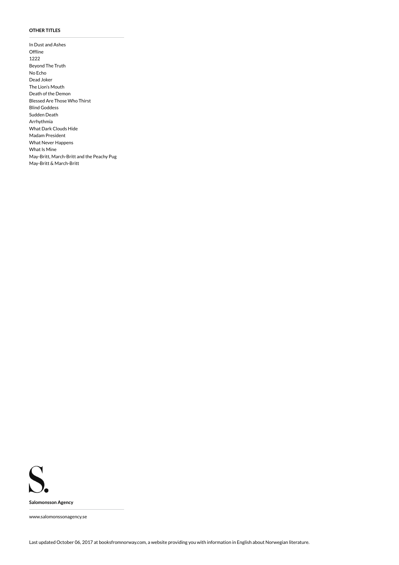### **OTHER TITLES**

In Dust and Ashes **Offline** 1222 Beyond The Truth No Echo Dead Joker The Lion's Mouth Death of the Demon Blessed Are Those Who Thirst Blind Goddess Sudden Death Arrhythmia What Dark Clouds Hide Madam President What Never Happens What Is Mine May-Britt, March-Britt and the Peachy Pug May-Britt & March-Britt

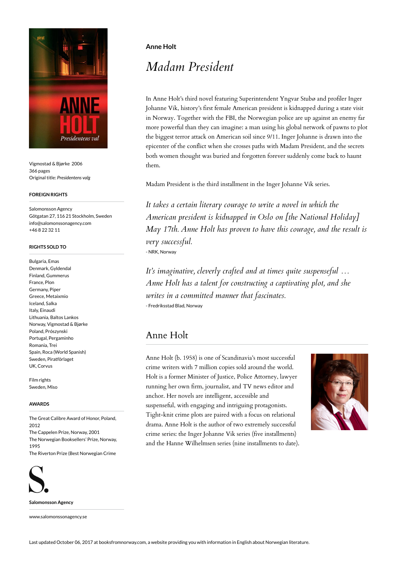

Vigmostad & Bjørke 2006 366 pages Original title: *Presidentens valg*

### **FOREIGN RIGHTS**

Salomonsson Agency Götgatan 27, 116 21 Stockholm, Sweden info@salomonssonagency.com +46 8 22 32 11

## **RIGHTS SOLD TO**

Bulgaria, Emas Denmark, Gyldendal Finland, Gummerus France, Plon Germany, Piper Greece, Metaixmio Iceland, Salka Italy, Einaudi Lithuania, Baltos Lankos Norway, Vigmostad & Bjørke Poland, Prószynski Portugal, Pergaminho Romania, Trei Spain, Roca (World Spanish) Sweden, Piratförlaget UK, Corvus

Film rights Sweden, Miso

#### **AWARDS**

The Great Calibre Award of Honor, Poland, 2012 The Cappelen Prize, Norway, 2001 The Norwegian Booksellers' Prize, Norway, 1995 The Riverton Prize (Best Norwegian Crime



**Salomonsson Agency**

www.salomonssonagency.se

# **Anne Holt**

# *Madam President*

In Anne Holt's third novel featuring Superintendent Yngvar Stubø and profiler Inger Johanne Vik, history's first female American president is kidnapped during a state visit in Norway. Together with the FBI, the Norwegian police are up against an enemy far more powerful than they can imagine: a man using his global network of pawns to plot the biggest terror attack on American soil since 9/11. Inger Johanne is drawn into the epicenter of the conflict when she crosses paths with Madam President, and the secrets both women thought was buried and forgotten forever suddenly come back to haunt them.

Madam President is the third installment in the Inger Johanne Vik series.

*It takes a certain literary courage to write a novel in which the American president is kidnapped in Oslo on [the National Holiday] May 17th. Anne Holt has proven to have this courage, and the result is very successful.* - NRK, Norway

*It's imaginative, cleverly crafted and at times quite suspenseful … Anne Holt has a talent for constructing a captivating plot, and she writes in a committed manner that fascinates.* - Fredriksstad Blad, Norway

# Anne Holt

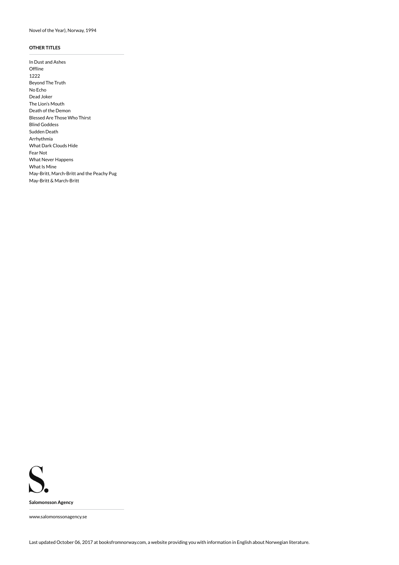# **OTHER TITLES**

In Dust and Ashes Offline 1222 Beyond The Truth No Echo Dead Joker The Lion's Mouth Death of the Demon Blessed Are Those Who Thirst Blind Goddess Sudden Death Arrhythmia What Dark Clouds Hide Fear Not What Never Happens What Is Mine May-Britt, March-Britt and the Peachy Pug May-Britt & March-Britt

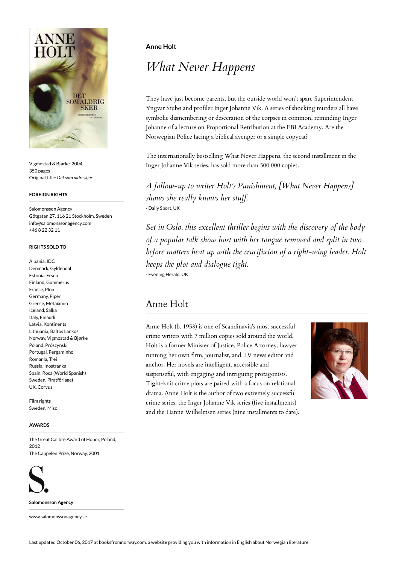

Vigmostad & Bjørke 2004 350 pages Original title: *Det som aldri skjer*

#### **FOREIGN RIGHTS**

Salomonsson Agency Götgatan 27, 116 21 Stockholm, Sweden info@salomonssonagency.com +46 8 22 32 11

## **RIGHTS SOLD TO**

Albania, IDC Denmark, Gyldendal Estonia, Ersen Finland, Gummerus France, Plon Germany, Piper Greece, Metaixmio Iceland, Salka Italy, Einaudi Latvia, Kontinents Lithuania, Baltos Lankos Norway, Vigmostad & Bjørke Poland, Prószynski Portugal, Pergaminho Romania, Trei Russia, Inostranka Spain, Roca (World Spanish) Sweden, Piratförlaget UK, Corvus

Film rights Sweden, Miso

#### **AWARDS**

The Great Calibre Award of Honor, Poland, 2012 The Cappelen Prize, Norway, 2001



**Salomonsson Agency**

www.salomonssonagency.se

# **Anne Holt**

# *What Never Happens*

They have just become parents, but the outside world won't spare Superintendent Yngvar Stubø and profiler Inger Johanne Vik. A series of shocking murders all have symbolic dismembering or desecration of the corpses in common, reminding Inger Johanne of a lecture on Proportional Retribution at the FBI Academy. Are the Norwegian Police facing a biblical avenger or a simple copycat?

The internationally bestselling What Never Happens, the second installment in the Inger Johanne Vik series, has sold more than 500 000 copies.

*A follow-up to writer Holt's Punishment, [What Never Happens] shows she really knows her stuff.* - Daily Sport, UK

*Set in Oslo, this excellent thriller begins with the discovery of the body of a popular talk show host with her tongue removed and split in two before matters heat up with the crucifixion of a right-wing leader. Holt keeps the plot and dialogue tight.* - Evening Herald, UK

# Anne Holt

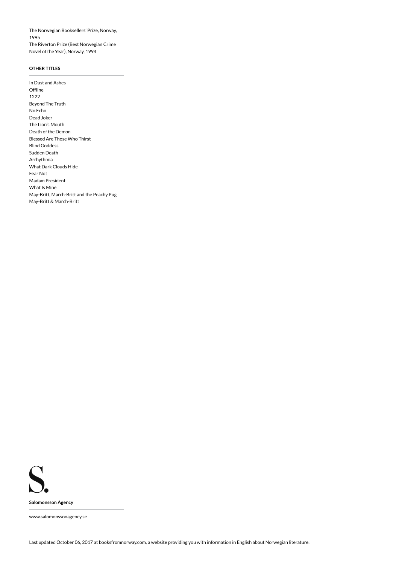The Norwegian Booksellers' Prize, Norway, 1995 The Riverton Prize (Best Norwegian Crime Novel of the Year), Norway, 1994

# **OTHER TITLES**

In Dust and Ashes **Offline** 1222 Beyond The Truth No Echo Dead Joker The Lion's Mouth Death of the Demon Blessed Are Those Who Thirst Blind Goddess Sudden Death Arrhythmia What Dark Clouds Hide Fear Not Madam President What Is Mine May-Britt, March-Britt and the Peachy Pug May-Britt & March-Britt

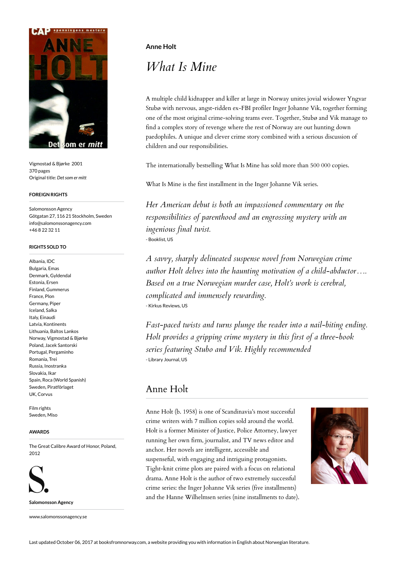

Vigmostad & Bjørke 2001 370 pages Original title: *Det som er mitt*

### **FOREIGN RIGHTS**

Salomonsson Agency Götgatan 27, 116 21 Stockholm, Sweden info@salomonssonagency.com +46 8 22 32 11

## **RIGHTS SOLD TO**

Albania, IDC Bulgaria, Emas Denmark, Gyldendal Estonia, Ersen Finland, Gummerus France, Plon Germany, Piper Iceland, Salka Italy, Einaudi Latvia, Kontinents Lithuania, Baltos Lankos Norway, Vigmostad & Bjørke Poland, Jacek Santorski Portugal, Pergaminho Romania, Trei Russia, Inostranka Slovakia, Ikar Spain, Roca (World Spanish) Sweden, Piratförlaget UK, Corvus

Film rights Sweden, Misc

## **AWARDS**

The Great Calibre Award of Honor, Poland, 2012



**Salomonsson Agency**

www.salomonssonagency.se

# **Anne Holt**

# *What Is Mine*

A multiple child kidnapper and killer at large in Norway unites jovial widower Yngvar Stubø with nervous, angst-ridden ex-FBI profiler Inger Johanne Vik, together forming one of the most original crime-solving teams ever. Together, Stubø and Vik manage to find a complex story of revenge where the rest of Norway are out hunting down paedophiles. A unique and clever crime story combined with a serious discussion of children and our responsibilities.

The internationally bestselling What Is Mine has sold more than 500 000 copies.

What Is Mine is the first installment in the Inger Johanne Vik series.

*Her American debut is both an impassioned commentary on the responsibilities of parenthood and an engrossing mystery with an ingenious final twist.* - Booklist, US

*A savvy, sharply delineated suspense novel from Norwegian crime author Holt delves into the haunting motivation of a child-abductor…. Based on a true Norwegian murder case, Holt's work is cerebral, complicated and immensely rewarding.* - Kirkus Reviews, US

*Fast-paced twists and turns plunge the reader into a nail-biting ending. Holt provides a gripping crime mystery in this first of a three-book series featuring Stubo and Vik. Highly recommended* - Library Journal, US

# Anne Holt